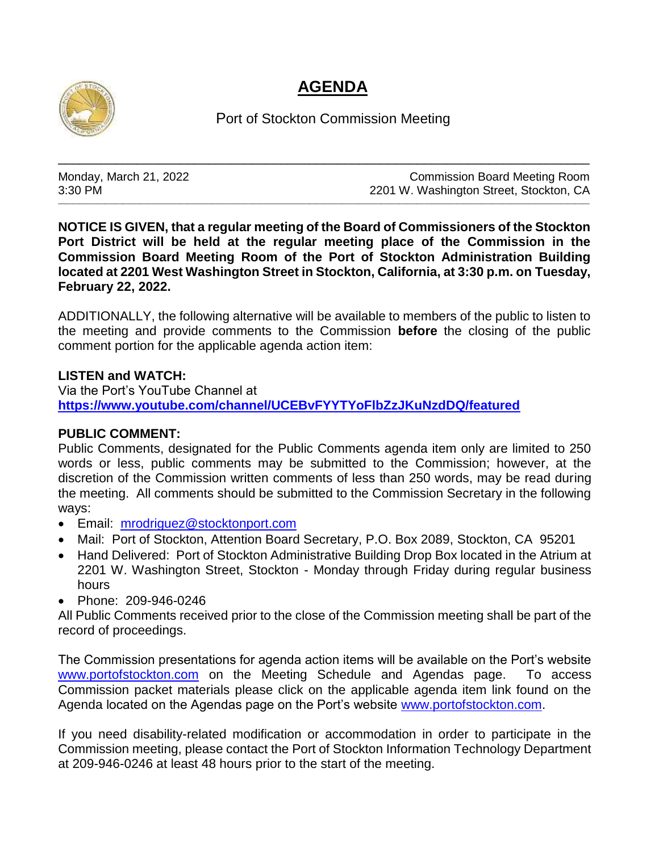## **AGENDA**



Port of Stockton Commission Meeting

\_\_\_\_\_\_\_\_\_\_\_\_\_\_\_\_\_\_\_\_\_\_\_\_\_\_\_\_\_\_\_\_\_\_\_\_\_\_\_\_\_\_\_\_\_\_\_\_\_\_\_\_\_\_\_\_\_\_\_\_\_\_\_\_\_\_\_\_\_\_\_\_\_\_

\_\_\_\_\_\_\_\_\_\_\_\_\_\_\_\_\_\_\_\_\_\_\_\_\_\_\_\_\_\_\_\_\_\_\_\_\_\_\_\_\_\_\_\_\_\_\_\_\_\_\_\_\_\_\_\_\_\_\_\_\_\_\_\_\_\_\_\_\_\_\_\_\_\_\_\_\_\_\_\_\_\_\_\_\_\_\_\_\_\_\_\_\_\_\_\_\_\_\_\_\_\_\_\_\_\_\_\_\_\_\_\_\_\_\_\_\_\_\_\_\_\_\_\_\_\_\_\_\_\_\_\_\_\_\_\_\_\_\_\_\_\_\_\_\_\_\_\_

Monday, March 21, 2022 Commission Board Meeting Room 3:30 PM 2201 W. Washington Street, Stockton, CA

**NOTICE IS GIVEN, that a regular meeting of the Board of Commissioners of the Stockton Port District will be held at the regular meeting place of the Commission in the Commission Board Meeting Room of the Port of Stockton Administration Building located at 2201 West Washington Street in Stockton, California, at 3:30 p.m. on Tuesday, February 22, 2022.**

ADDITIONALLY, the following alternative will be available to members of the public to listen to the meeting and provide comments to the Commission **before** the closing of the public comment portion for the applicable agenda action item:

## **LISTEN and WATCH:**

Via the Port's YouTube Channel at **<https://www.youtube.com/channel/UCEBvFYYTYoFlbZzJKuNzdDQ/featured>**

## **PUBLIC COMMENT:**

Public Comments, designated for the Public Comments agenda item only are limited to 250 words or less, public comments may be submitted to the Commission; however, at the discretion of the Commission written comments of less than 250 words, may be read during the meeting. All comments should be submitted to the Commission Secretary in the following ways:

- Email: [mrodriguez@stocktonport.com](mailto:mrodriguez@stocktonport.com)
- Mail: Port of Stockton, Attention Board Secretary, P.O. Box 2089, Stockton, CA 95201
- Hand Delivered: Port of Stockton Administrative Building Drop Box located in the Atrium at 2201 W. Washington Street, Stockton - Monday through Friday during regular business hours
- Phone: 209-946-0246

All Public Comments received prior to the close of the Commission meeting shall be part of the record of proceedings.

The Commission presentations for agenda action items will be available on the Port's website [www.portofstockton.com](http://www.portofstockton.com/) on the Meeting Schedule and Agendas page. To access Commission packet materials please click on the applicable agenda item link found on the Agenda located on the Agendas page on the Port's website [www.portofstockton.com.](http://www.portofstockton.com/)

If you need disability-related modification or accommodation in order to participate in the Commission meeting, please contact the Port of Stockton Information Technology Department at 209-946-0246 at least 48 hours prior to the start of the meeting.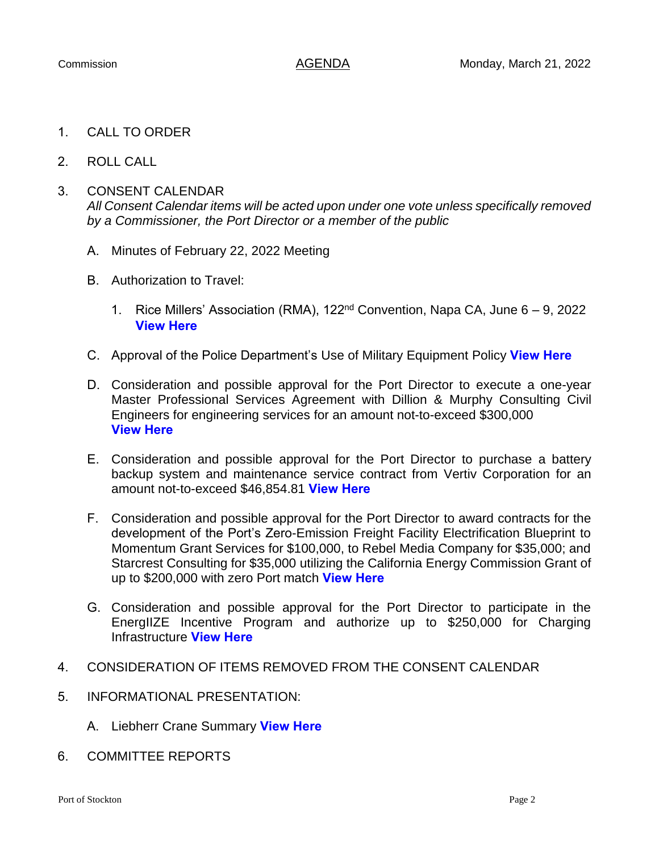- 1. CALL TO ORDER
- 2. ROLL CALL
- 3. CONSENT CALENDAR *All Consent Calendar items will be acted upon under one vote unless specifically removed by a Commissioner, the Port Director or a member of the public*
	- A. Minutes of February 22, 2022 Meeting
	- B. Authorization to Travel:
		- 1. Rice Millers' Association (RMA),  $122<sup>nd</sup>$  Convention, Napa CA, June 6 9, 2022 **[View Here](https://www.portofstockton.com/wp-content/uploads/2022/03/ConsentItemB.1.pdf)**
	- C. Approval of the Police Department's Use of Military Equipment Policy **[View Here](https://www.portofstockton.com/wp-content/uploads/2022/03/ConsentItemC.pdf)**
	- D. Consideration and possible approval for the Port Director to execute a one-year Master Professional Services Agreement with Dillion & Murphy Consulting Civil Engineers for engineering services for an amount not-to-exceed \$300,000 **[View Here](https://www.portofstockton.com/wp-content/uploads/2022/03/ConsentItemD.pdf)**
	- E. Consideration and possible approval for the Port Director to purchase a battery backup system and maintenance service contract from Vertiv Corporation for an amount not-to-exceed \$46,854.81 **[View Here](https://www.portofstockton.com/wp-content/uploads/2022/03/ConsentItemE.pdf)**
	- F. Consideration and possible approval for the Port Director to award contracts for the development of the Port's Zero-Emission Freight Facility Electrification Blueprint to Momentum Grant Services for \$100,000, to Rebel Media Company for \$35,000; and Starcrest Consulting for \$35,000 utilizing the California Energy Commission Grant of up to \$200,000 with zero Port match **[View Here](https://www.portofstockton.com/wp-content/uploads/2022/03/ConsentItemF.pdf)**
	- G. Consideration and possible approval for the Port Director to participate in the EnergIIZE Incentive Program and authorize up to \$250,000 for Charging Infrastructure **[View Here](https://www.portofstockton.com/wp-content/uploads/2022/03/ConsentItemG.pdf)**
- 4. CONSIDERATION OF ITEMS REMOVED FROM THE CONSENT CALENDAR
- 5. INFORMATIONAL PRESENTATION:
	- A. Liebherr Crane Summary **[View Here](https://www.portofstockton.com/wp-content/uploads/2022/03/Item5.pdf)**
- 6. COMMITTEE REPORTS